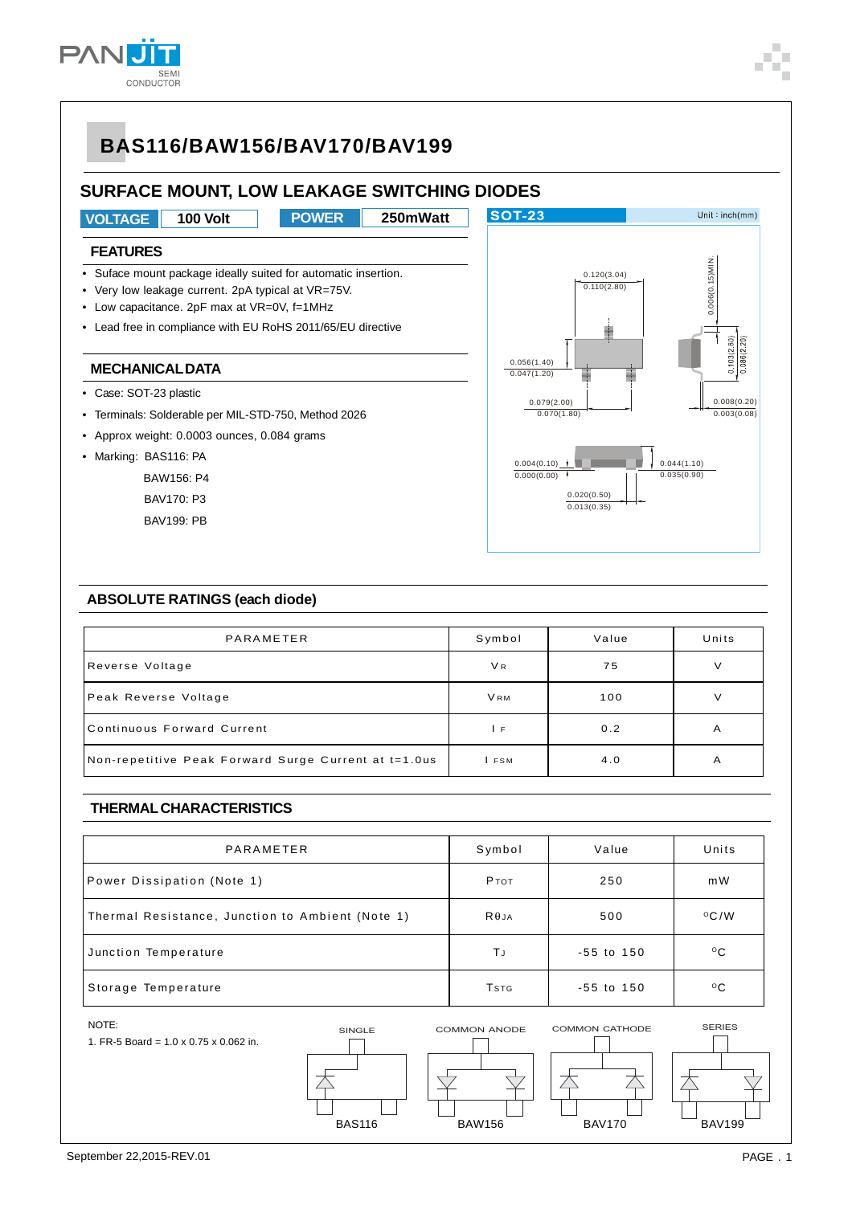**PAN** 

SEM<br>CONDUCTOR

### **SURFACE MOUNT, LOW LEAKAGE SWITCHING DIODES**



#### **ABSOLUTE RATINGS (each diode)**

| PARAMETER                                            | Symbol         | Value | Units |
|------------------------------------------------------|----------------|-------|-------|
| Reverse Voltage                                      | V <sub>R</sub> | 75    | V     |
| Peak Reverse Voltage                                 | <b>VRM</b>     | 100   |       |
| Continuous Forward Current                           | ΙF             | 0.2   | A     |
| Non-repetitive Peak Forward Surge Current at t=1.0us | FSM            | 4.0   | A     |

#### **THERMAL CHARACTERISTICS**

| PARAMETER                                        | Symbol       | Value          | Units         |
|--------------------------------------------------|--------------|----------------|---------------|
| Power Dissipation (Note 1)                       | Ртот         | 250            | m W           |
| Thermal Resistance, Junction to Ambient (Note 1) | $R\theta$ JA | 500            | $\rm ^{O}C/W$ |
| Junction Temperature                             | ΤJ           | $-55$ to $150$ | $^{\circ}$ C  |
| Storage Temperature                              | <b>T</b> stg | $-55$ to $150$ | $^{\circ}$ C  |

#### NOTE:

1. FR-5 Board = 1.0 x 0.75 x 0.062 in.







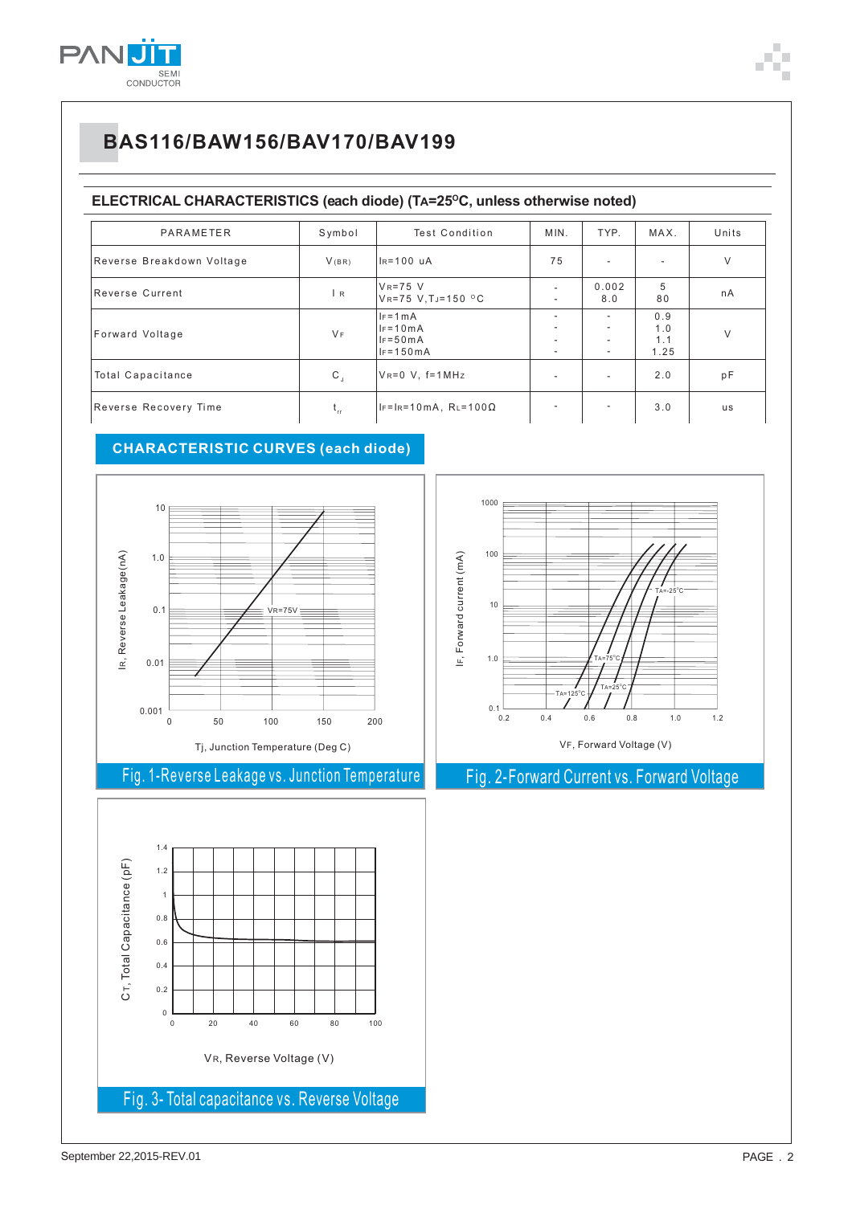

#### ELECTRICAL CHARACTERISTICS (each diode) (TA=25°C, unless otherwise noted)

| PARAMETER                 | Symbol       | <b>Test Condition</b>                                     | MIN.                                                                                  | TYP.                                                   | MAX.                      | Units     |
|---------------------------|--------------|-----------------------------------------------------------|---------------------------------------------------------------------------------------|--------------------------------------------------------|---------------------------|-----------|
| Reverse Breakdown Voltage | V(BR)        | $IR=100$ uA                                               | 75                                                                                    | $\sim$                                                 | ۰                         | V         |
| Reverse Current           | l R          | $V_R = 75$ V<br>VR=75 V.TJ=150 °C                         | $\overline{\phantom{a}}$<br>$\overline{\phantom{a}}$                                  | 0.002<br>8.0                                           | 5<br>80                   | nA        |
| Forward Voltage           | $V_F$        | $IF = 1 mA$<br>$IF = 10mA$<br>$IF = 50mA$<br>$IF = 150mA$ | $\overline{\phantom{a}}$<br>٠<br>$\overline{\phantom{a}}$<br>$\overline{\phantom{a}}$ | $\sim$<br>$\sim$<br>$\overline{\phantom{a}}$<br>$\sim$ | 0.9<br>1.0<br>1.1<br>1.25 | V         |
| <b>Total Capacitance</b>  | $\mathsf{C}$ | $V_R = 0$ V, $f = 1$ MHz                                  | $\overline{\phantom{a}}$                                                              | $\sim$                                                 | 2.0                       | pF        |
| Reverse Recovery Time     | t.,          | $IF=IR=10mA, RL=100\Omega$                                | ٠                                                                                     | $\sim$                                                 | 3.0                       | <b>us</b> |

### **CHARACTERISTIC CURVES (each diode)**



Fig. 1-Reverse Leakage vs. Junction Temperature





Fig. 2-Forward Current vs. Forward Voltage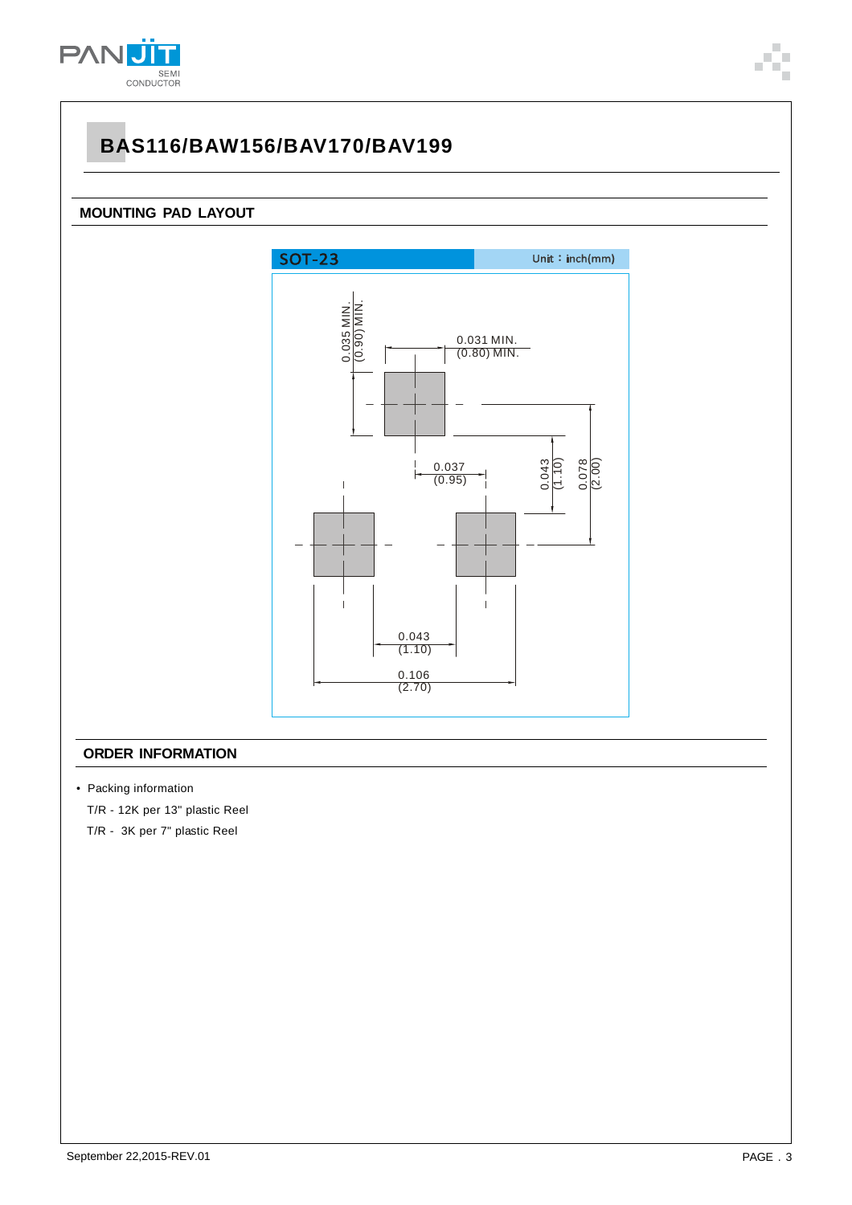

### **MOUNTING PAD LAYOUT**



#### **ORDER INFORMATION**

• Packing information

T/R - 12K per 13" plastic Reel

T/R - 3K per 7" plastic Reel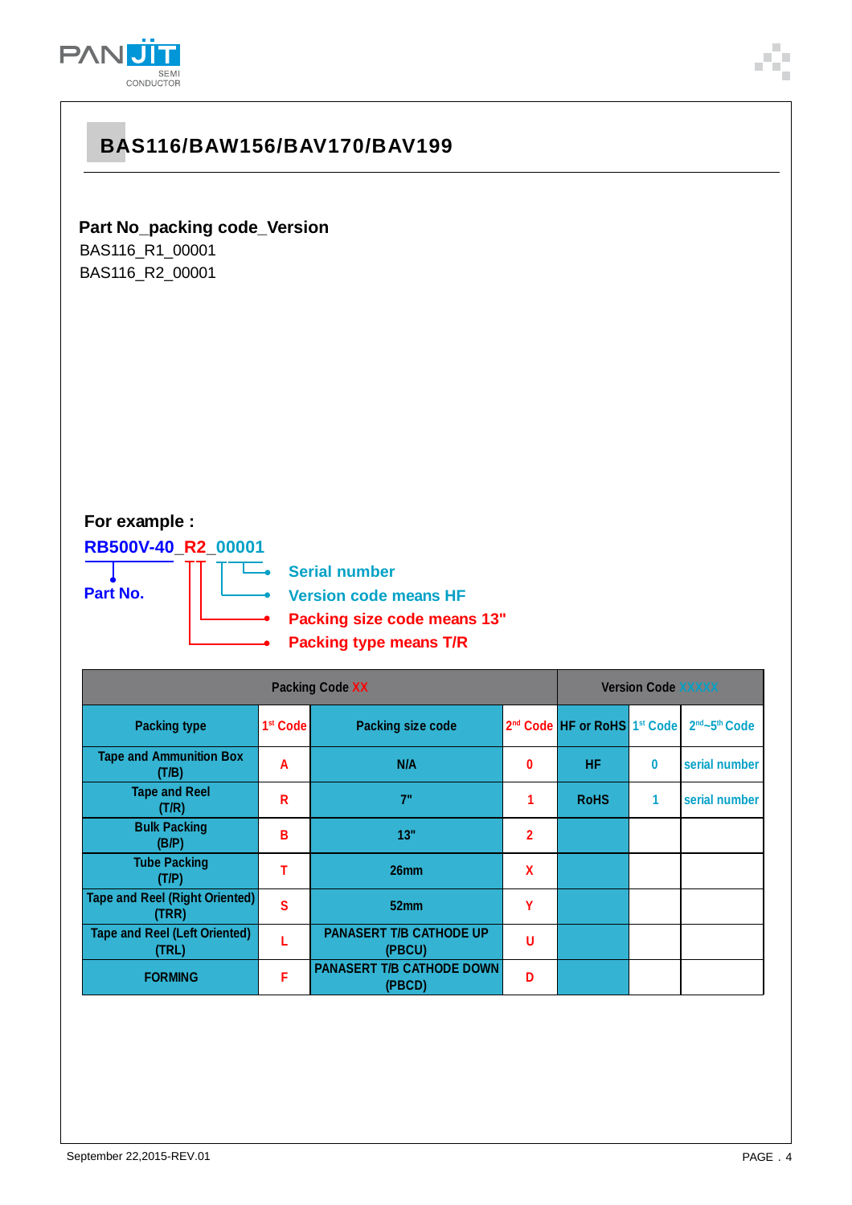

**Part No\_packing code\_Version** BAS116\_R1\_00001 BAS116\_R2\_00001

### **For example :**

**RB500V-40\_R2\_00001**

**Part No.**

**Serial number**

L.

**Version code means HF**

- **Packing size code means 13"**
- **Packing type means T/R**

| <b>Packing Code XX</b>                         |                      |                                            | <b>Version Code XXXXX</b> |                                                      |          |                                       |
|------------------------------------------------|----------------------|--------------------------------------------|---------------------------|------------------------------------------------------|----------|---------------------------------------|
| <b>Packing type</b>                            | 1 <sup>st</sup> Code | <b>Packing size code</b>                   |                           | 2 <sup>nd</sup> Code HF or RoHS 1 <sup>st</sup> Code |          | 2 <sup>nd</sup> ~5 <sup>th</sup> Code |
| <b>Tape and Ammunition Box</b><br>(T/B)        | A                    | N/A                                        | 0                         | <b>HF</b>                                            | $\bf{0}$ | serial number                         |
| <b>Tape and Reel</b><br>(T/R)                  | R                    | 7"                                         | 1                         | <b>RoHS</b>                                          | 1        | serial number                         |
| <b>Bulk Packing</b><br>(B/P)                   | В                    | 13"                                        | $\overline{2}$            |                                                      |          |                                       |
| <b>Tube Packing</b><br>(T/P)                   |                      | 26mm                                       | χ                         |                                                      |          |                                       |
| <b>Tape and Reel (Right Oriented)</b><br>(TRR) | S                    | 52mm                                       | γ                         |                                                      |          |                                       |
| <b>Tape and Reel (Left Oriented)</b><br>(TRL)  |                      | <b>PANASERT T/B CATHODE UP</b><br>(PBCU)   | U                         |                                                      |          |                                       |
| <b>FORMING</b>                                 | F                    | <b>PANASERT T/B CATHODE DOWN</b><br>(PBCD) | D                         |                                                      |          |                                       |